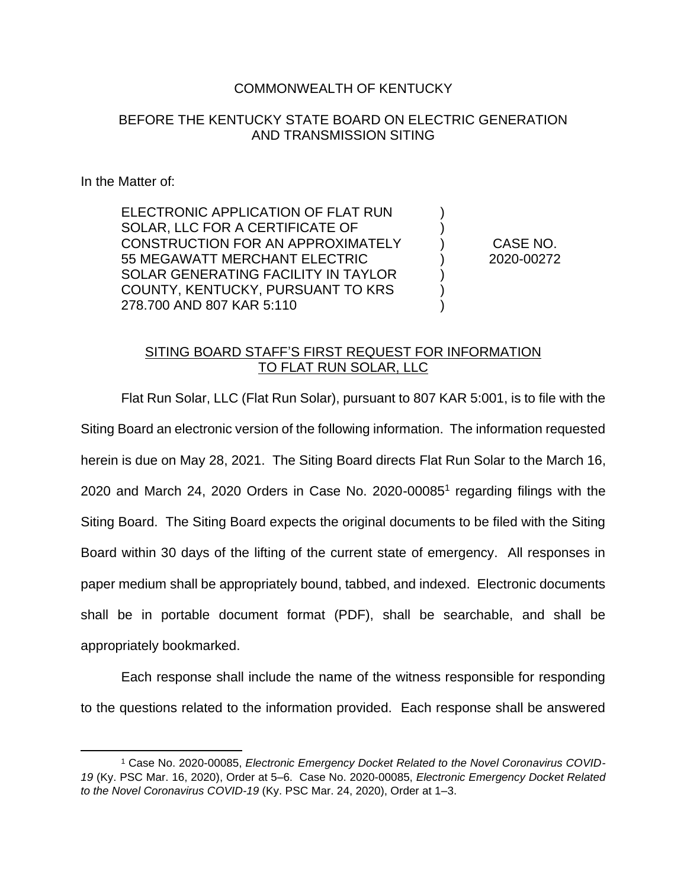#### COMMONWEALTH OF KENTUCKY

#### BEFORE THE KENTUCKY STATE BOARD ON ELECTRIC GENERATION AND TRANSMISSION SITING

In the Matter of:

ELECTRONIC APPLICATION OF FLAT RUN SOLAR, LLC FOR A CERTIFICATE OF CONSTRUCTION FOR AN APPROXIMATELY 55 MEGAWATT MERCHANT ELECTRIC SOLAR GENERATING FACILITY IN TAYLOR COUNTY, KENTUCKY, PURSUANT TO KRS 278.700 AND 807 KAR 5:110

CASE NO. 2020-00272

) ) ) ) ) ) )

### SITING BOARD STAFF'S FIRST REQUEST FOR INFORMATION TO FLAT RUN SOLAR, LLC

Flat Run Solar, LLC (Flat Run Solar), pursuant to 807 KAR 5:001, is to file with the Siting Board an electronic version of the following information. The information requested herein is due on May 28, 2021. The Siting Board directs Flat Run Solar to the March 16, 2020 and March 24, 2020 Orders in Case No. 2020-00085<sup>1</sup> regarding filings with the Siting Board. The Siting Board expects the original documents to be filed with the Siting Board within 30 days of the lifting of the current state of emergency. All responses in paper medium shall be appropriately bound, tabbed, and indexed. Electronic documents shall be in portable document format (PDF), shall be searchable, and shall be appropriately bookmarked.

Each response shall include the name of the witness responsible for responding to the questions related to the information provided. Each response shall be answered

<sup>1</sup> Case No. 2020-00085, *Electronic Emergency Docket Related to the Novel Coronavirus COVID-19* (Ky. PSC Mar. 16, 2020), Order at 5–6. Case No. 2020-00085, *Electronic Emergency Docket Related to the Novel Coronavirus COVID-19* (Ky. PSC Mar. 24, 2020), Order at 1–3.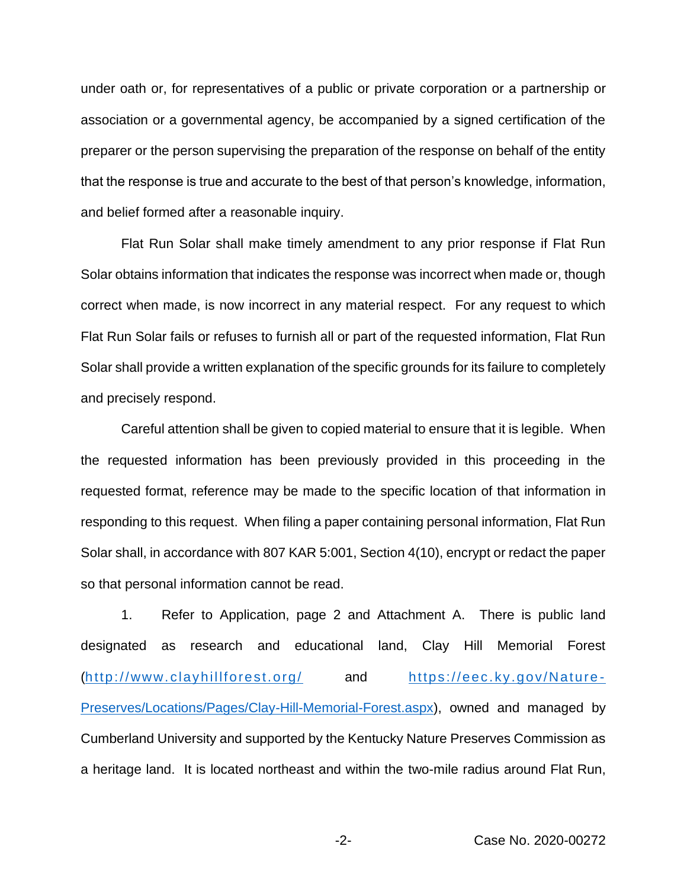under oath or, for representatives of a public or private corporation or a partnership or association or a governmental agency, be accompanied by a signed certification of the preparer or the person supervising the preparation of the response on behalf of the entity that the response is true and accurate to the best of that person's knowledge, information, and belief formed after a reasonable inquiry.

Flat Run Solar shall make timely amendment to any prior response if Flat Run Solar obtains information that indicates the response was incorrect when made or, though correct when made, is now incorrect in any material respect. For any request to which Flat Run Solar fails or refuses to furnish all or part of the requested information, Flat Run Solar shall provide a written explanation of the specific grounds for its failure to completely and precisely respond.

Careful attention shall be given to copied material to ensure that it is legible. When the requested information has been previously provided in this proceeding in the requested format, reference may be made to the specific location of that information in responding to this request. When filing a paper containing personal information, Flat Run Solar shall, in accordance with 807 KAR 5:001, Section 4(10), encrypt or redact the paper so that personal information cannot be read.

1. Refer to Application, page 2 and Attachment A. There is public land designated as research and educational land, Clay Hill Memorial Forest (http://www.clayhillforest.org/ and https://eec.ky.gov/Nature - Preserves/Locations/Pages/Clay-Hill-Memorial-Forest.aspx), owned and managed by Cumberland University and supported by the Kentucky Nature Preserves Commission as a heritage land. It is located northeast and within the two-mile radius around Flat Run,

-2- Case No. 2020-00272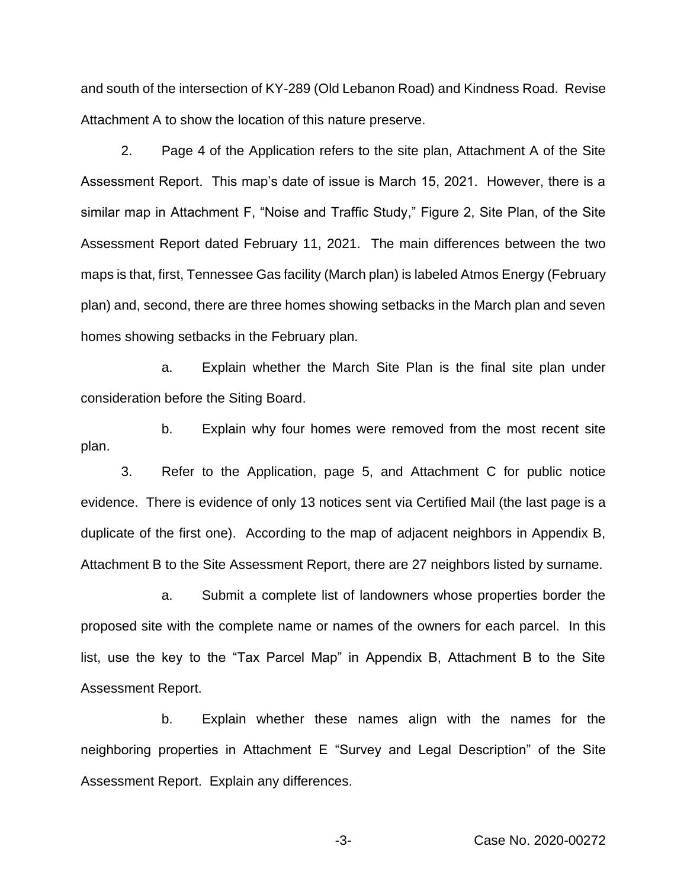and south of the intersection of KY-289 (Old Lebanon Road) and Kindness Road. Revise Attachment A to show the location of this nature preserve.

2. Page 4 of the Application refers to the site plan, Attachment A of the Site Assessment Report. This map's date of issue is March 15, 2021. However, there is a similar map in Attachment F, "Noise and Traffic Study," Figure 2, Site Plan, of the Site Assessment Report dated February 11, 2021. The main differences between the two maps is that, first, Tennessee Gas facility (March plan) is labeled Atmos Energy (February plan) and, second, there are three homes showing setbacks in the March plan and seven homes showing setbacks in the February plan.

a. Explain whether the March Site Plan is the final site plan under consideration before the Siting Board.

b. Explain why four homes were removed from the most recent site plan.

3. Refer to the Application, page 5, and Attachment C for public notice evidence. There is evidence of only 13 notices sent via Certified Mail (the last page is a duplicate of the first one). According to the map of adjacent neighbors in Appendix B, Attachment B to the Site Assessment Report, there are 27 neighbors listed by surname.

a. Submit a complete list of landowners whose properties border the proposed site with the complete name or names of the owners for each parcel. In this list, use the key to the "Tax Parcel Map" in Appendix B, Attachment B to the Site Assessment Report.

b. Explain whether these names align with the names for the neighboring properties in Attachment E "Survey and Legal Description" of the Site Assessment Report. Explain any differences.

-3- Case No. 2020-00272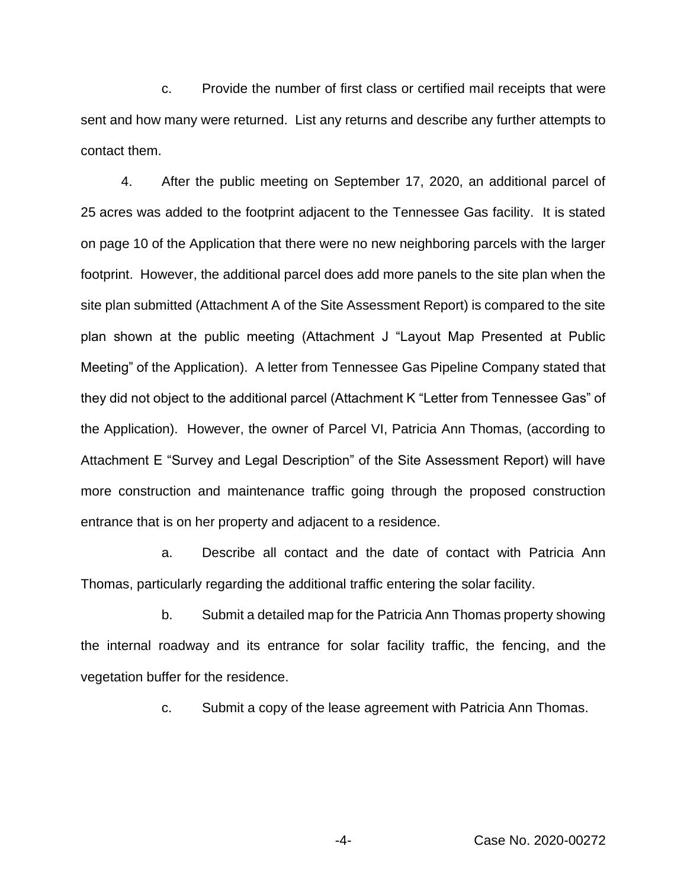c. Provide the number of first class or certified mail receipts that were sent and how many were returned. List any returns and describe any further attempts to contact them.

4. After the public meeting on September 17, 2020, an additional parcel of 25 acres was added to the footprint adjacent to the Tennessee Gas facility. It is stated on page 10 of the Application that there were no new neighboring parcels with the larger footprint. However, the additional parcel does add more panels to the site plan when the site plan submitted (Attachment A of the Site Assessment Report) is compared to the site plan shown at the public meeting (Attachment J "Layout Map Presented at Public Meeting" of the Application). A letter from Tennessee Gas Pipeline Company stated that they did not object to the additional parcel (Attachment K "Letter from Tennessee Gas" of the Application). However, the owner of Parcel VI, Patricia Ann Thomas, (according to Attachment E "Survey and Legal Description" of the Site Assessment Report) will have more construction and maintenance traffic going through the proposed construction entrance that is on her property and adjacent to a residence.

a. Describe all contact and the date of contact with Patricia Ann Thomas, particularly regarding the additional traffic entering the solar facility.

b. Submit a detailed map for the Patricia Ann Thomas property showing the internal roadway and its entrance for solar facility traffic, the fencing, and the vegetation buffer for the residence.

c. Submit a copy of the lease agreement with Patricia Ann Thomas.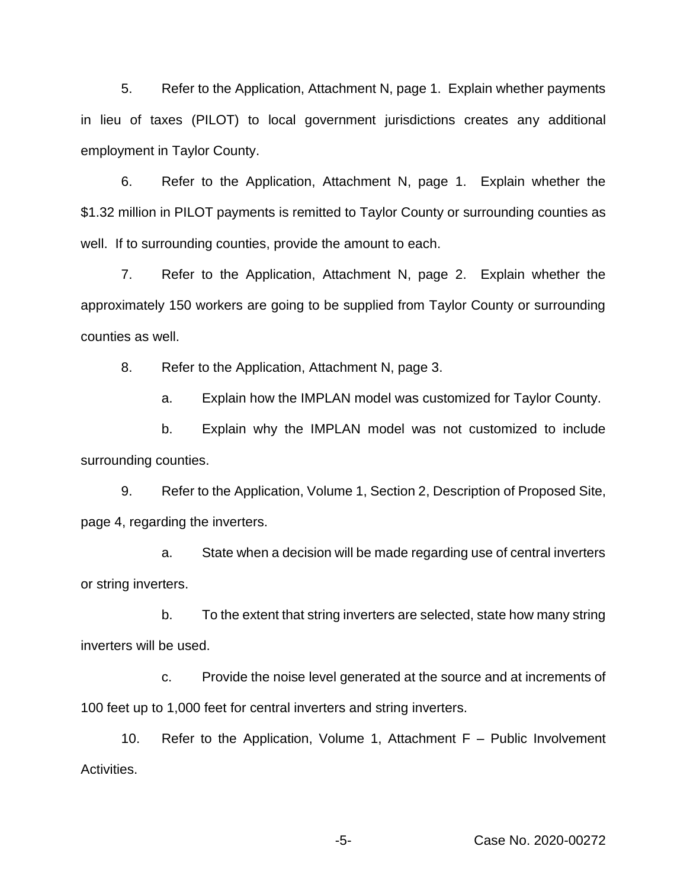5. Refer to the Application, Attachment N, page 1. Explain whether payments in lieu of taxes (PILOT) to local government jurisdictions creates any additional employment in Taylor County.

6. Refer to the Application, Attachment N, page 1. Explain whether the \$1.32 million in PILOT payments is remitted to Taylor County or surrounding counties as well. If to surrounding counties, provide the amount to each.

7. Refer to the Application, Attachment N, page 2. Explain whether the approximately 150 workers are going to be supplied from Taylor County or surrounding counties as well.

8. Refer to the Application, Attachment N, page 3.

a. Explain how the IMPLAN model was customized for Taylor County.

b. Explain why the IMPLAN model was not customized to include surrounding counties.

9. Refer to the Application, Volume 1, Section 2, Description of Proposed Site, page 4, regarding the inverters.

a. State when a decision will be made regarding use of central inverters or string inverters.

b. To the extent that string inverters are selected, state how many string inverters will be used.

c. Provide the noise level generated at the source and at increments of 100 feet up to 1,000 feet for central inverters and string inverters.

10. Refer to the Application, Volume 1, Attachment F – Public Involvement Activities.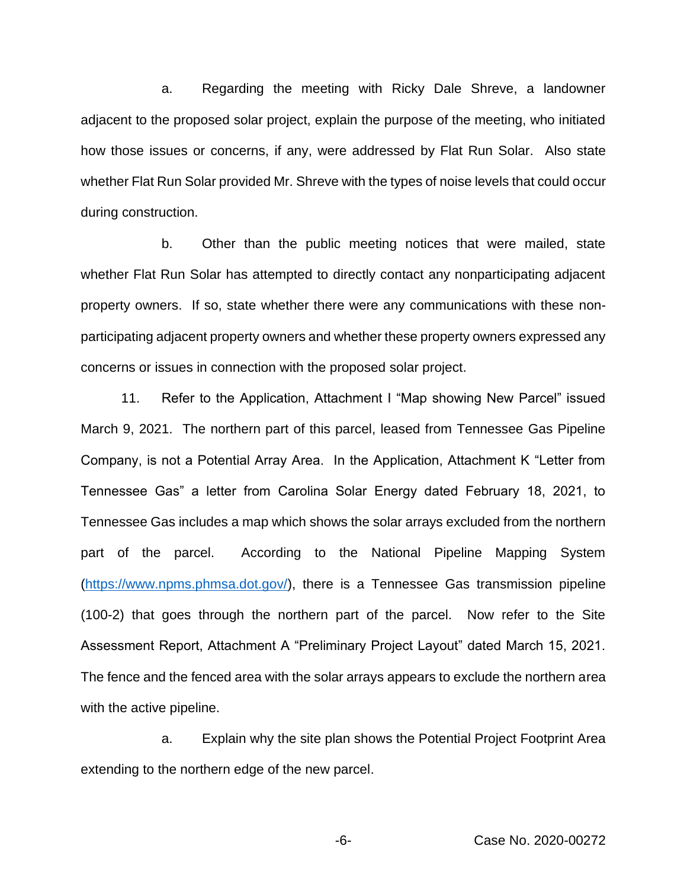a. Regarding the meeting with Ricky Dale Shreve, a landowner adjacent to the proposed solar project, explain the purpose of the meeting, who initiated how those issues or concerns, if any, were addressed by Flat Run Solar. Also state whether Flat Run Solar provided Mr. Shreve with the types of noise levels that could occur during construction.

b. Other than the public meeting notices that were mailed, state whether Flat Run Solar has attempted to directly contact any nonparticipating adjacent property owners. If so, state whether there were any communications with these nonparticipating adjacent property owners and whether these property owners expressed any concerns or issues in connection with the proposed solar project.

11. Refer to the Application, Attachment I "Map showing New Parcel" issued March 9, 2021. The northern part of this parcel, leased from Tennessee Gas Pipeline Company, is not a Potential Array Area. In the Application, Attachment K "Letter from Tennessee Gas" a letter from Carolina Solar Energy dated February 18, 2021, to Tennessee Gas includes a map which shows the solar arrays excluded from the northern part of the parcel. According to the National Pipeline Mapping System (https://www.npms.phmsa.dot.gov/), there is a Tennessee Gas transmission pipeline (100-2) that goes through the northern part of the parcel. Now refer to the Site Assessment Report, Attachment A "Preliminary Project Layout" dated March 15, 2021. The fence and the fenced area with the solar arrays appears to exclude the northern area with the active pipeline.

a. Explain why the site plan shows the Potential Project Footprint Area extending to the northern edge of the new parcel.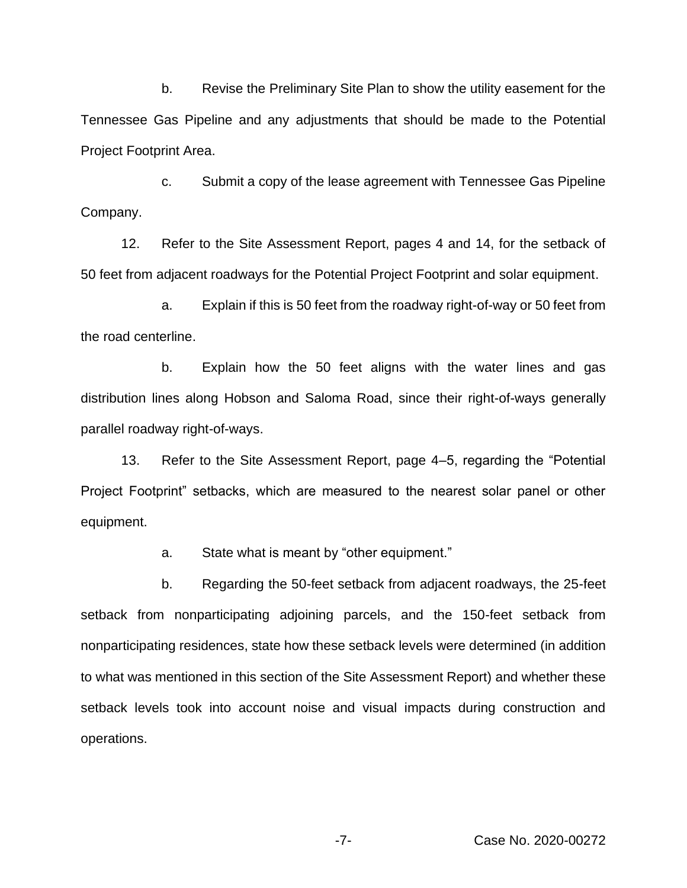b. Revise the Preliminary Site Plan to show the utility easement for the Tennessee Gas Pipeline and any adjustments that should be made to the Potential Project Footprint Area.

c. Submit a copy of the lease agreement with Tennessee Gas Pipeline Company.

12. Refer to the Site Assessment Report, pages 4 and 14, for the setback of 50 feet from adjacent roadways for the Potential Project Footprint and solar equipment.

a. Explain if this is 50 feet from the roadway right-of-way or 50 feet from the road centerline.

b. Explain how the 50 feet aligns with the water lines and gas distribution lines along Hobson and Saloma Road, since their right-of-ways generally parallel roadway right-of-ways.

13. Refer to the Site Assessment Report, page 4–5, regarding the "Potential Project Footprint" setbacks, which are measured to the nearest solar panel or other equipment.

a. State what is meant by "other equipment."

b. Regarding the 50-feet setback from adjacent roadways, the 25-feet setback from nonparticipating adjoining parcels, and the 150-feet setback from nonparticipating residences, state how these setback levels were determined (in addition to what was mentioned in this section of the Site Assessment Report) and whether these setback levels took into account noise and visual impacts during construction and operations.

-7- Case No. 2020-00272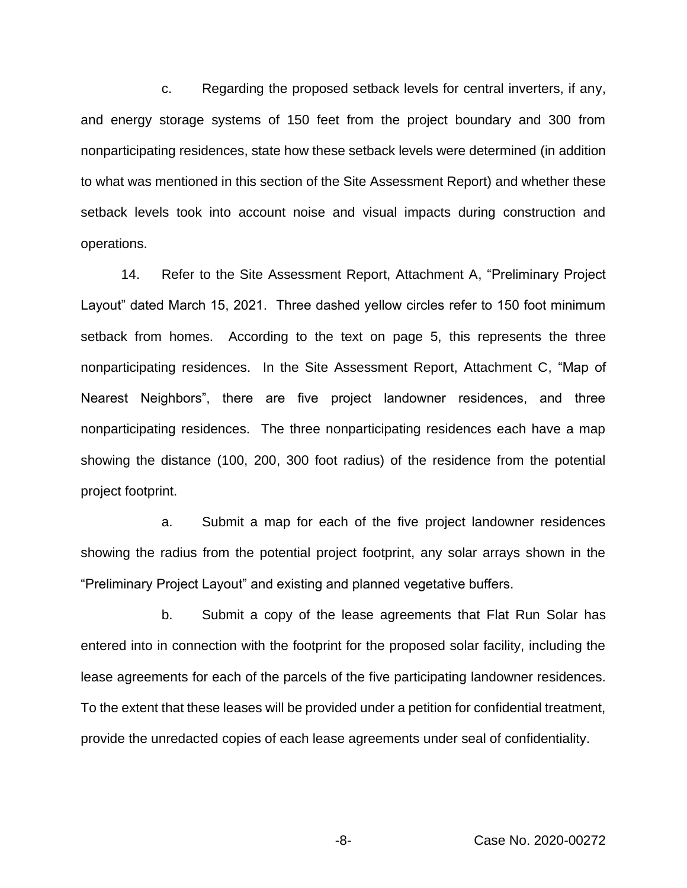c. Regarding the proposed setback levels for central inverters, if any, and energy storage systems of 150 feet from the project boundary and 300 from nonparticipating residences, state how these setback levels were determined (in addition to what was mentioned in this section of the Site Assessment Report) and whether these setback levels took into account noise and visual impacts during construction and operations.

14. Refer to the Site Assessment Report, Attachment A, "Preliminary Project Layout" dated March 15, 2021. Three dashed yellow circles refer to 150 foot minimum setback from homes. According to the text on page 5, this represents the three nonparticipating residences. In the Site Assessment Report, Attachment C, "Map of Nearest Neighbors", there are five project landowner residences, and three nonparticipating residences. The three nonparticipating residences each have a map showing the distance (100, 200, 300 foot radius) of the residence from the potential project footprint.

a. Submit a map for each of the five project landowner residences showing the radius from the potential project footprint, any solar arrays shown in the "Preliminary Project Layout" and existing and planned vegetative buffers.

b. Submit a copy of the lease agreements that Flat Run Solar has entered into in connection with the footprint for the proposed solar facility, including the lease agreements for each of the parcels of the five participating landowner residences. To the extent that these leases will be provided under a petition for confidential treatment, provide the unredacted copies of each lease agreements under seal of confidentiality.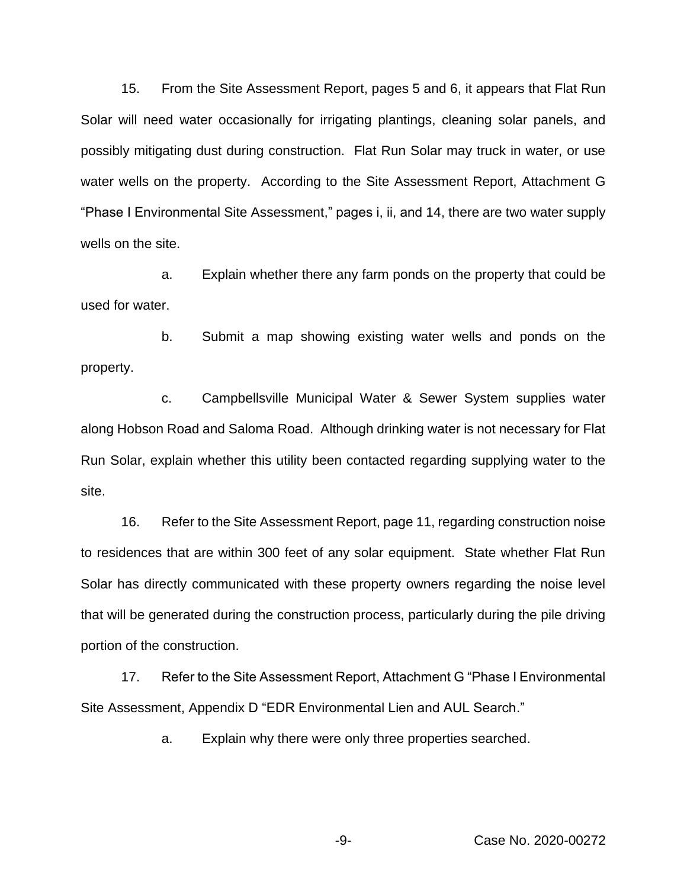15. From the Site Assessment Report, pages 5 and 6, it appears that Flat Run Solar will need water occasionally for irrigating plantings, cleaning solar panels, and possibly mitigating dust during construction. Flat Run Solar may truck in water, or use water wells on the property. According to the Site Assessment Report, Attachment G "Phase I Environmental Site Assessment," pages i, ii, and 14, there are two water supply wells on the site.

a. Explain whether there any farm ponds on the property that could be used for water.

b. Submit a map showing existing water wells and ponds on the property.

c. Campbellsville Municipal Water & Sewer System supplies water along Hobson Road and Saloma Road. Although drinking water is not necessary for Flat Run Solar, explain whether this utility been contacted regarding supplying water to the site.

16. Refer to the Site Assessment Report, page 11, regarding construction noise to residences that are within 300 feet of any solar equipment. State whether Flat Run Solar has directly communicated with these property owners regarding the noise level that will be generated during the construction process, particularly during the pile driving portion of the construction.

17. Refer to the Site Assessment Report, Attachment G "Phase I Environmental Site Assessment, Appendix D "EDR Environmental Lien and AUL Search."

a. Explain why there were only three properties searched.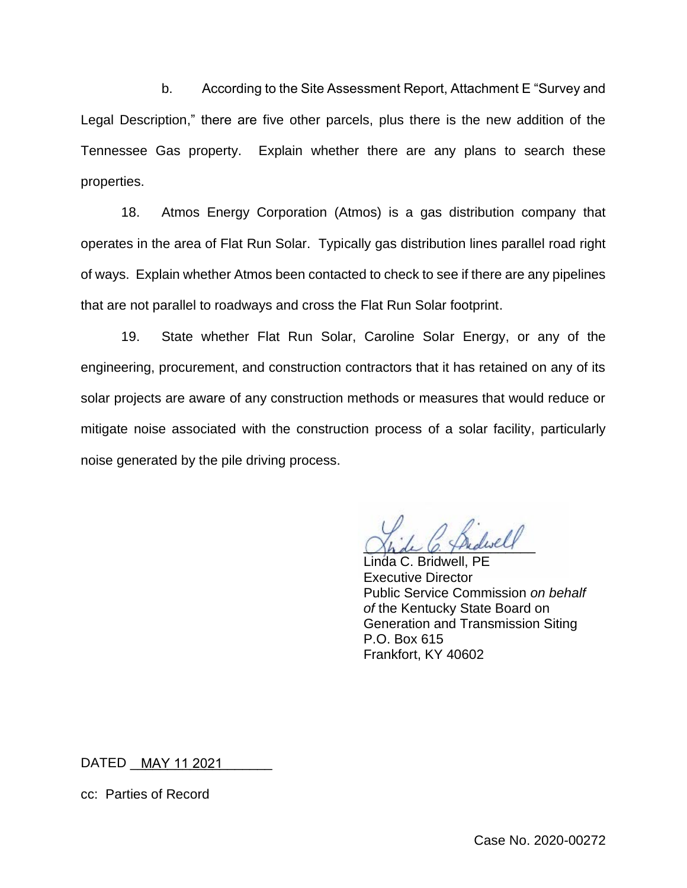b. According to the Site Assessment Report, Attachment E "Survey and Legal Description," there are five other parcels, plus there is the new addition of the Tennessee Gas property. Explain whether there are any plans to search these properties.

18. Atmos Energy Corporation (Atmos) is a gas distribution company that operates in the area of Flat Run Solar. Typically gas distribution lines parallel road right of ways. Explain whether Atmos been contacted to check to see if there are any pipelines that are not parallel to roadways and cross the Flat Run Solar footprint.

19. State whether Flat Run Solar, Caroline Solar Energy, or any of the engineering, procurement, and construction contractors that it has retained on any of its solar projects are aware of any construction methods or measures that would reduce or mitigate noise associated with the construction process of a solar facility, particularly noise generated by the pile driving process.

Shde C. Thedwell

Linda C. Bridwell, PE Executive Director Public Service Commission *on behalf of* the Kentucky State Board on Generation and Transmission Siting P.O. Box 615 Frankfort, KY 40602

DATED \_\_<u>MAY 11 2021</u>\_\_\_\_\_\_\_\_\_

cc: Parties of Record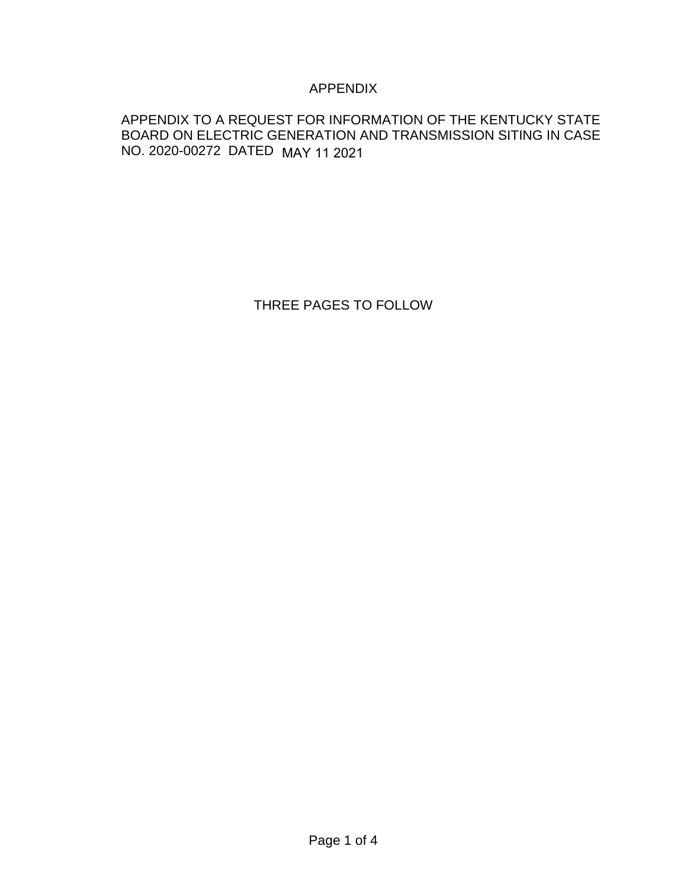## APPENDIX

## APPENDIX TO A REQUEST FOR INFORMATION OF THE KENTUCKY STATE BOARD ON ELECTRIC GENERATION AND TRANSMISSION SITING IN CASE NO. 2020-00272 DATED MAY 11 2021

THREE PAGES TO FOLLOW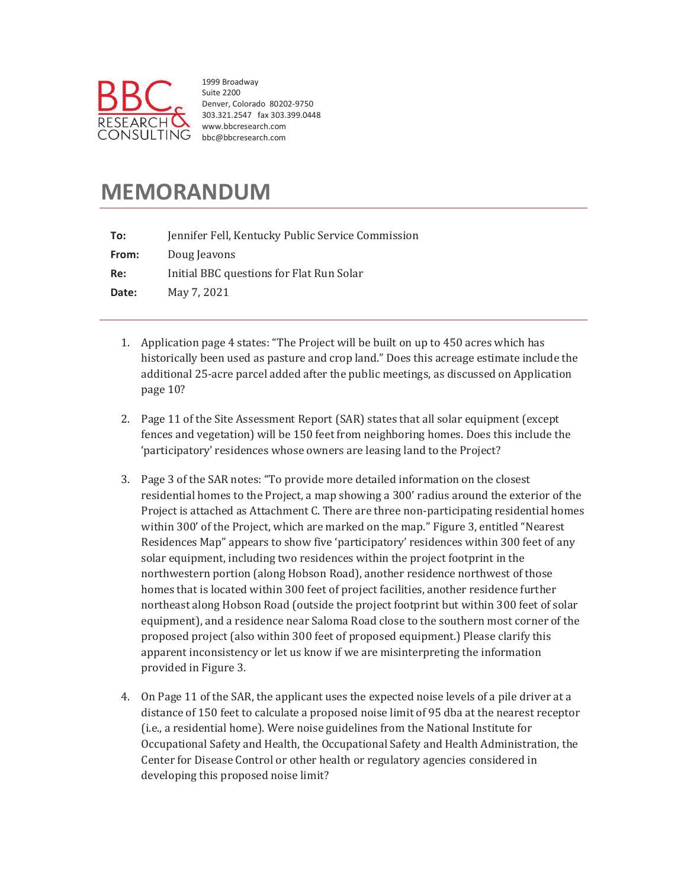

1999 Broadway Suite 2200 Denver, Colorado 80202-9750 303.321.2547 fax 303.399.0448 www.bbcresearch.com bbc@bbcresearch.com

# **MEMORANDUM**

| To:   | Jennifer Fell, Kentucky Public Service Commission |
|-------|---------------------------------------------------|
| From: | Doug Jeavons                                      |
| Re:   | Initial BBC questions for Flat Run Solar          |
| Date: | May 7, 2021                                       |
|       |                                                   |

- 1. Application page 4 states: "The Project will be built on up to 450 acres which has historically been used as pasture and crop land." Does this acreage estimate include the additional 25-acre parcel added after the public meetings, as discussed on Application page 10?
- 2. Page 11 of the Site Assessment Report (SAR) states that all solar equipment (except fences and vegetation) will be 150 feet from neighboring homes. Does this include the 'participatory' residences whose owners are leasing land to the Project?
- 3. Page 3 of the SAR notes: "To provide more detailed information on the closest residential homes to the Project, a map showing a 300' radius around the exterior of the Project is attached as Attachment C. There are three non-participating residential homes within 300' of the Project, which are marked on the map." Figure 3, entitled "Nearest" Residences Map" appears to show five 'participatory' residences within 300 feet of any solar equipment, including two residences within the project footprint in the northwestern portion (along Hobson Road), another residence northwest of those homes that is located within 300 feet of project facilities, another residence further northeast along Hobson Road (outside the project footprint but within 300 feet of solar equipment), and a residence near Saloma Road close to the southern most corner of the proposed project (also within 300 feet of proposed equipment.) Please clarify this apparent inconsistency or let us know if we are misinterpreting the information provided in Figure 3.
- 4. On Page 11 of the SAR, the applicant uses the expected noise levels of a pile driver at a distance of 150 feet to calculate a proposed noise limit of 95 dba at the nearest receptor (i.e., a residential home). Were noise guidelines from the National Institute for Occupational Safety and Health, the Occupational Safety and Health Administration, the Center for Disease Control or other health or regulatory agencies considered in developing this proposed noise limit?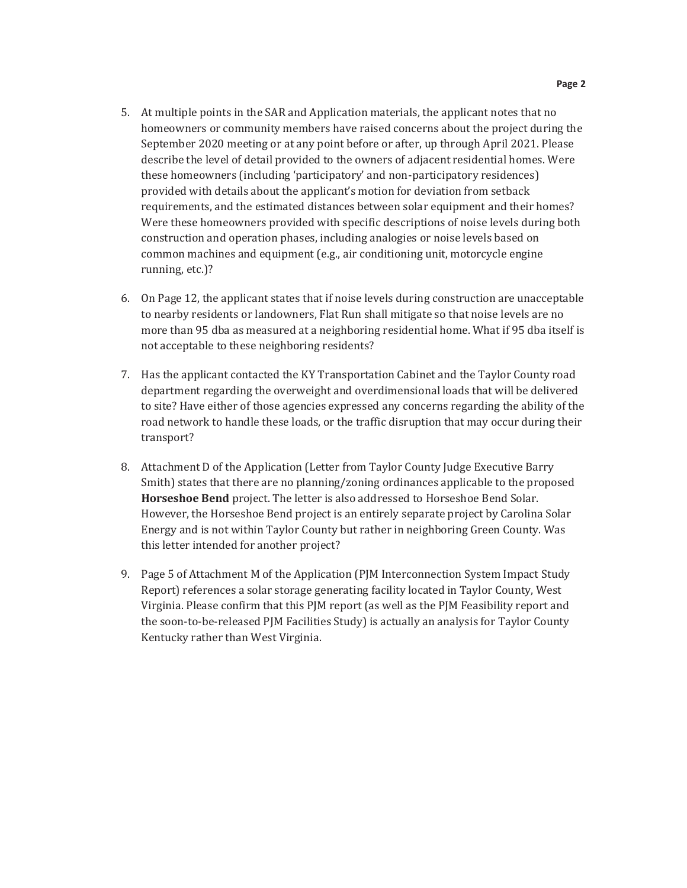- 5. At multiple points in the SAR and Application materials, the applicant notes that no homeowners or community members have raised concerns about the project during the September 2020 meeting or at any point before or after, up through April 2021. Please describe the level of detail provided to the owners of adjacent residential homes. Were these homeowners (including 'participatory' and non-participatory residences) provided with details about the applicant's motion for deviation from setback requirements, and the estimated distances between solar equipment and their homes? Were these homeowners provided with specific descriptions of noise levels during both construction and operation phases, including analogies or noise levels based on common machines and equipment (e.g., air conditioning unit, motorcycle engine running, etc.)?
- 6. On Page 12, the applicant states that if noise levels during construction are unacceptable to nearby residents or landowners, Flat Run shall mitigate so that noise levels are no more than 95 dba as measured at a neighboring residential home. What if 95 dba itself is not acceptable to these neighboring residents?
- 7. Has the applicant contacted the KY Transportation Cabinet and the Taylor County road department regarding the overweight and overdimensional loads that will be delivered to site? Have either of those agencies expressed any concerns regarding the ability of the road network to handle these loads, or the traffic disruption that may occur during their transport?
- 8. Attachment D of the Application (Letter from Taylor County Judge Executive Barry Smith) states that there are no planning/zoning ordinances applicable to the proposed Horseshoe Bend project. The letter is also addressed to Horseshoe Bend Solar. However, the Horseshoe Bend project is an entirely separate project by Carolina Solar Energy and is not within Taylor County but rather in neighboring Green County. Was this letter intended for another project?
- 9. Page 5 of Attachment M of the Application (PJM Interconnection System Impact Study Report) references a solar storage generating facility located in Taylor County, West Virginia. Please confirm that this PJM report (as well as the PJM Feasibility report and the soon-to-be-released PJM Facilities Study) is actually an analysis for Taylor County Kentucky rather than West Virginia.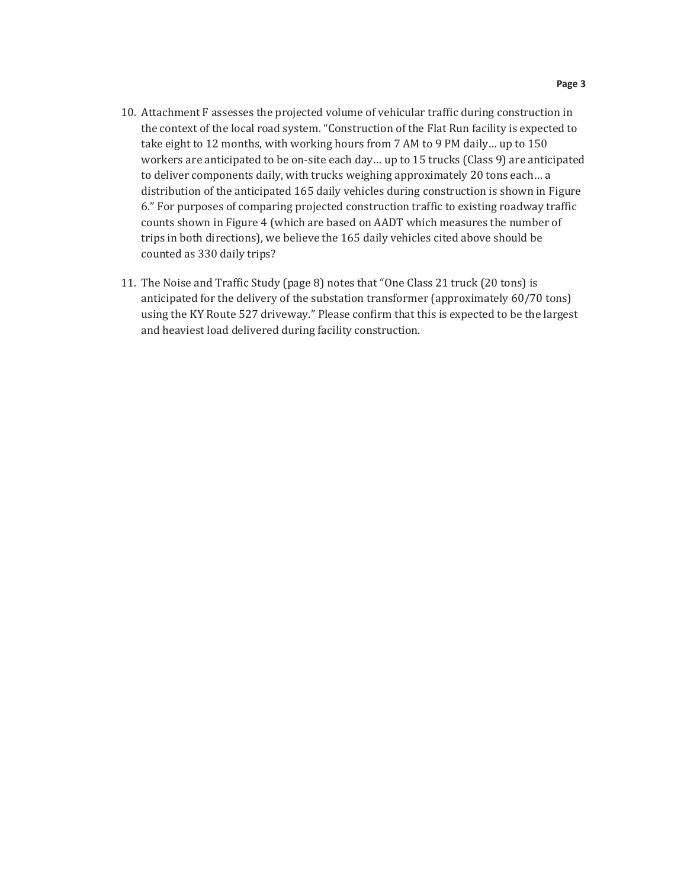- 10. Attachment F assesses the projected volume of vehicular traffic during construction in the context of the local road system. "Construction of the Flat Run facility is expected to take eight to 12 months, with working hours from 7 AM to 9 PM daily... up to 150 workers are anticipated to be on-site each day... up to 15 trucks (Class 9) are anticipated to deliver components daily, with trucks weighing approximately 20 tons each... a distribution of the anticipated 165 daily vehicles during construction is shown in Figure 6." For purposes of comparing projected construction traffic to existing roadway traffic counts shown in Figure 4 (which are based on AADT which measures the number of trips in both directions), we believe the 165 daily vehicles cited above should be counted as 330 daily trips?
- 11. The Noise and Traffic Study (page 8) notes that "One Class 21 truck (20 tons) is anticipated for the delivery of the substation transformer (approximately 60/70 tons) using the KY Route 527 driveway." Please confirm that this is expected to be the largest and heaviest load delivered during facility construction.